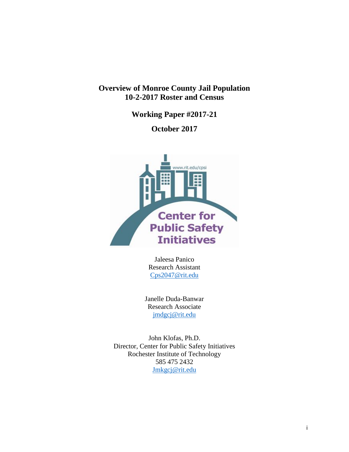# **Overview of Monroe County Jail Population 10-2-2017 Roster and Census**

**Working Paper #2017-21**

**October 2017**



Jaleesa Panico Research Assistant [Cps2047@rit.edu](mailto:Cps2047@rit.edu) 

Janelle Duda-Banwar Research Associate [jmdgcj@rit.edu](mailto:jmdgcj@rit.edu)

John Klofas, Ph.D. Director, Center for Public Safety Initiatives Rochester Institute of Technology 585 475 2432 [Jmkgcj@rit.edu](mailto:Jmkgcj@rit.edu)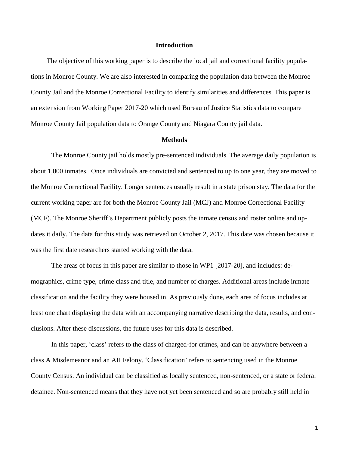#### **Introduction**

The objective of this working paper is to describe the local jail and correctional facility populations in Monroe County. We are also interested in comparing the population data between the Monroe County Jail and the Monroe Correctional Facility to identify similarities and differences. This paper is an extension from Working Paper 2017-20 which used Bureau of Justice Statistics data to compare Monroe County Jail population data to Orange County and Niagara County jail data.

#### **Methods**

The Monroe County jail holds mostly pre-sentenced individuals. The average daily population is about 1,000 inmates. Once individuals are convicted and sentenced to up to one year, they are moved to the Monroe Correctional Facility. Longer sentences usually result in a state prison stay. The data for the current working paper are for both the Monroe County Jail (MCJ) and Monroe Correctional Facility (MCF). The Monroe Sheriff's Department publicly posts the inmate census and roster online and updates it daily. The data for this study was retrieved on October 2, 2017. This date was chosen because it was the first date researchers started working with the data.

The areas of focus in this paper are similar to those in WP1 [2017-20], and includes: demographics, crime type, crime class and title, and number of charges. Additional areas include inmate classification and the facility they were housed in. As previously done, each area of focus includes at least one chart displaying the data with an accompanying narrative describing the data, results, and conclusions. After these discussions, the future uses for this data is described.

In this paper, 'class' refers to the class of charged-for crimes, and can be anywhere between a class A Misdemeanor and an AII Felony. 'Classification' refers to sentencing used in the Monroe County Census. An individual can be classified as locally sentenced, non-sentenced, or a state or federal detainee. Non-sentenced means that they have not yet been sentenced and so are probably still held in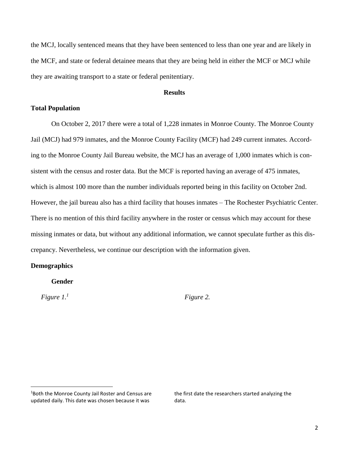the MCJ, locally sentenced means that they have been sentenced to less than one year and are likely in the MCF, and state or federal detainee means that they are being held in either the MCF or MCJ while they are awaiting transport to a state or federal penitentiary.

## **Results**

## **Total Population**

On October 2, 2017 there were a total of 1,228 inmates in Monroe County. The Monroe County Jail (MCJ) had 979 inmates, and the Monroe County Facility (MCF) had 249 current inmates. According to the Monroe County Jail Bureau website, the MCJ has an average of 1,000 inmates which is consistent with the census and roster data. But the MCF is reported having an average of 475 inmates, which is almost 100 more than the number individuals reported being in this facility on October 2nd. However, the jail bureau also has a third facility that houses inmates – The Rochester Psychiatric Center. There is no mention of this third facility anywhere in the roster or census which may account for these missing inmates or data, but without any additional information, we cannot speculate further as this discrepancy. Nevertheless, we continue our description with the information given.

## **Demographics**

### **Gender**

*Figure 1.<sup>1</sup>*

 $\overline{a}$ 

*Figure 2.*

the first date the researchers started analyzing the data.

<sup>&</sup>lt;sup>1</sup>Both the Monroe County Jail Roster and Census are updated daily. This date was chosen because it was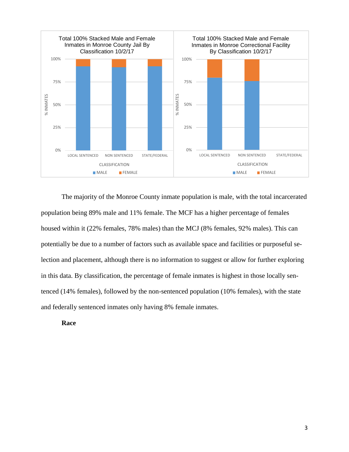

The majority of the Monroe County inmate population is male, with the total incarcerated population being 89% male and 11% female. The MCF has a higher percentage of females housed within it (22% females, 78% males) than the MCJ (8% females, 92% males). This can potentially be due to a number of factors such as available space and facilities or purposeful selection and placement, although there is no information to suggest or allow for further exploring in this data. By classification, the percentage of female inmates is highest in those locally sentenced (14% females), followed by the non-sentenced population (10% females), with the state and federally sentenced inmates only having 8% female inmates.

**Race**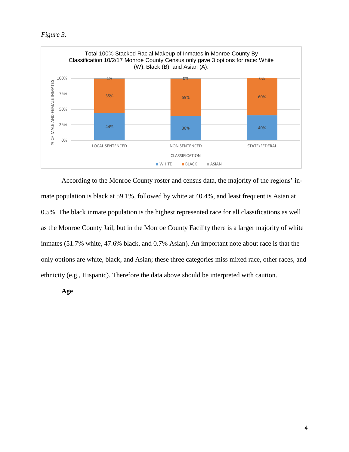*Figure 3.*



According to the Monroe County roster and census data, the majority of the regions' inmate population is black at 59.1%, followed by white at 40.4%, and least frequent is Asian at 0.5%. The black inmate population is the highest represented race for all classifications as well as the Monroe County Jail, but in the Monroe County Facility there is a larger majority of white inmates (51.7% white, 47.6% black, and 0.7% Asian). An important note about race is that the only options are white, black, and Asian; these three categories miss mixed race, other races, and ethnicity (e.g., Hispanic). Therefore the data above should be interpreted with caution.

**Age**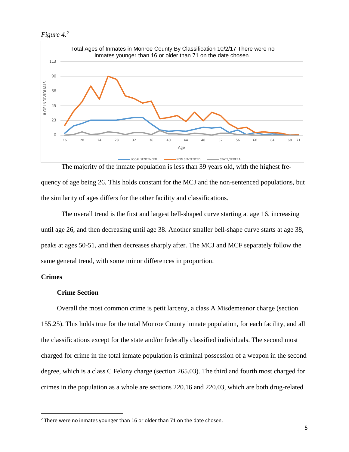*Figure 4.<sup>2</sup>*



quency of age being 26. This holds constant for the MCJ and the non-sentenced populations, but the similarity of ages differs for the other facility and classifications.

The overall trend is the first and largest bell-shaped curve starting at age 16, increasing until age 26, and then decreasing until age 38. Another smaller bell-shape curve starts at age 38, peaks at ages 50-51, and then decreases sharply after. The MCJ and MCF separately follow the same general trend, with some minor differences in proportion.

# **Crimes**

 $\overline{a}$ 

## **Crime Section**

Overall the most common crime is petit larceny, a class A Misdemeanor charge (section 155.25). This holds true for the total Monroe County inmate population, for each facility, and all the classifications except for the state and/or federally classified individuals. The second most charged for crime in the total inmate population is criminal possession of a weapon in the second degree, which is a class C Felony charge (section 265.03). The third and fourth most charged for crimes in the population as a whole are sections 220.16 and 220.03, which are both drug-related

<sup>&</sup>lt;sup>2</sup> There were no inmates younger than 16 or older than 71 on the date chosen.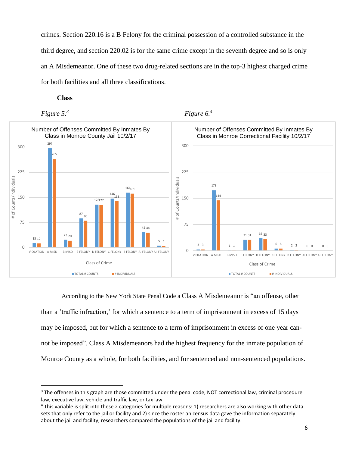crimes. Section 220.16 is a B Felony for the criminal possession of a controlled substance in the third degree, and section 220.02 is for the same crime except in the seventh degree and so is only an A Misdemeanor. One of these two drug-related sections are in the top-3 highest charged crime for both facilities and all three classifications.

## **Class**



 $\overline{a}$ 



According to the New York State Penal Code a Class A Misdemeanor is "an offense, other than a 'traffic infraction,' for which a sentence to a term of imprisonment in excess of 15 days may be imposed, but for which a sentence to a term of imprisonment in excess of one year cannot be imposed". Class A Misdemeanors had the highest frequency for the inmate population of Monroe County as a whole, for both facilities, and for sentenced and non-sentenced populations.

<sup>&</sup>lt;sup>3</sup> The offenses in this graph are those committed under the penal code, NOT correctional law, criminal procedure law, executive law, vehicle and traffic law, or tax law.

<sup>4</sup> This variable is split into these 2 categories for multiple reasons: 1) researchers are also working with other data sets that only refer to the jail or facility and 2) since the roster an census data gave the information separately about the jail and facility, researchers compared the populations of the jail and facility.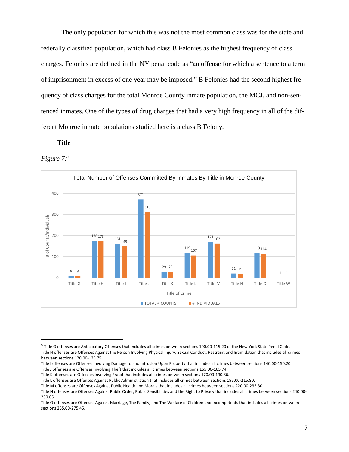The only population for which this was not the most common class was for the state and federally classified population, which had class B Felonies as the highest frequency of class charges. Felonies are defined in the NY penal code as "an offense for which a sentence to a term of imprisonment in excess of one year may be imposed." B Felonies had the second highest frequency of class charges for the total Monroe County inmate population, the MCJ, and non-sentenced inmates. One of the types of drug charges that had a very high frequency in all of the different Monroe inmate populations studied here is a class B Felony.

## **Title**

*Figure 7.<sup>5</sup>*

 $\overline{a}$ 



<sup>&</sup>lt;sup>5</sup> Title G offenses are Anticipatory Offenses that includes all crimes between sections 100.00-115.20 of the New York State Penal Code. Title H offenses are Offenses Against the Person Involving Physical Injury, Sexual Conduct, Restraint and Intimidation that includes all crimes between sections 120.00-135.75.

Title I offenses are Offenses Involving Damage to and Intrusion Upon Property that includes all crimes between sections 140.00-150.20 Title J offenses are Offenses Involving Theft that includes all crimes between sections 155.00-165.74.

Title K offenses are Offenses Involving Fraud that includes all crimes between sections 170.00-190.86.

Title L offenses are Offenses Against Public Administration that includes all crimes between sections 195.00-215.80.

Title M offenses are Offenses Against Public Health and Morals that includes all crimes between sections 220.00-235.30.

Title N offenses are Offenses Against Public Order, Public Sensibilities and the Right to Privacy that includes all crimes between sections 240.00- 250.65.

Title O offenses are Offenses Against Marriage, The Family, and The Welfare of Children and Incompetents that includes all crimes between sections 255.00-275.45.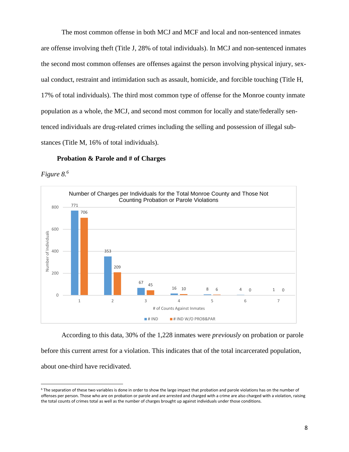The most common offense in both MCJ and MCF and local and non-sentenced inmates are offense involving theft (Title J, 28% of total individuals). In MCJ and non-sentenced inmates the second most common offenses are offenses against the person involving physical injury, sexual conduct, restraint and intimidation such as assault, homicide, and forcible touching (Title H, 17% of total individuals). The third most common type of offense for the Monroe county inmate population as a whole, the MCJ, and second most common for locally and state/federally sentenced individuals are drug-related crimes including the selling and possession of illegal substances (Title M, 16% of total individuals).

#### **Probation & Parole and # of Charges**

*Figure 8.<sup>6</sup>*

 $\overline{a}$ 



According to this data, 30% of the 1,228 inmates were *previously* on probation or parole before this current arrest for a violation. This indicates that of the total incarcerated population, about one-third have recidivated.

 $6$  The separation of these two variables is done in order to show the large impact that probation and parole violations has on the number of offenses per person. Those who are on probation or parole and are arrested and charged with a crime are also charged with a violation, raising the total counts of crimes total as well as the number of charges brought up against individuals under those conditions.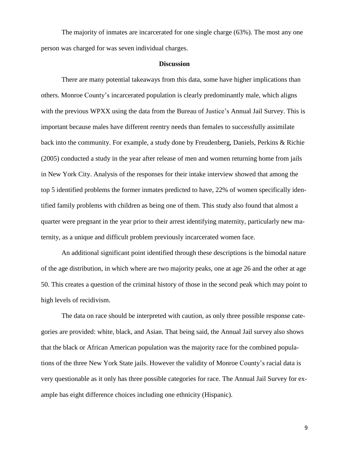The majority of inmates are incarcerated for one single charge (63%). The most any one person was charged for was seven individual charges.

#### **Discussion**

There are many potential takeaways from this data, some have higher implications than others. Monroe County's incarcerated population is clearly predominantly male, which aligns with the previous WPXX using the data from the Bureau of Justice's Annual Jail Survey. This is important because males have different reentry needs than females to successfully assimilate back into the community. For example, a study done by Freudenberg, Daniels, Perkins & Richie (2005) conducted a study in the year after release of men and women returning home from jails in New York City. Analysis of the responses for their intake interview showed that among the top 5 identified problems the former inmates predicted to have, 22% of women specifically identified family problems with children as being one of them. This study also found that almost a quarter were pregnant in the year prior to their arrest identifying maternity, particularly new maternity, as a unique and difficult problem previously incarcerated women face.

An additional significant point identified through these descriptions is the bimodal nature of the age distribution, in which where are two majority peaks, one at age 26 and the other at age 50. This creates a question of the criminal history of those in the second peak which may point to high levels of recidivism.

The data on race should be interpreted with caution, as only three possible response categories are provided: white, black, and Asian. That being said, the Annual Jail survey also shows that the black or African American population was the majority race for the combined populations of the three New York State jails. However the validity of Monroe County's racial data is very questionable as it only has three possible categories for race. The Annual Jail Survey for example has eight difference choices including one ethnicity (Hispanic).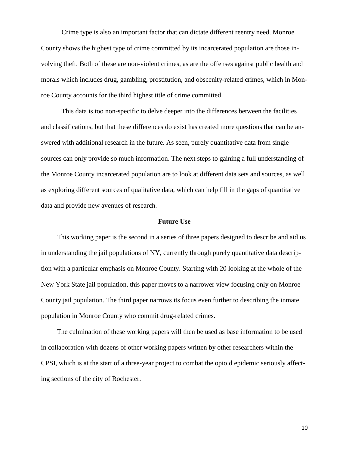Crime type is also an important factor that can dictate different reentry need. Monroe County shows the highest type of crime committed by its incarcerated population are those involving theft. Both of these are non-violent crimes, as are the offenses against public health and morals which includes drug, gambling, prostitution, and obscenity-related crimes, which in Monroe County accounts for the third highest title of crime committed.

This data is too non-specific to delve deeper into the differences between the facilities and classifications, but that these differences do exist has created more questions that can be answered with additional research in the future. As seen, purely quantitative data from single sources can only provide so much information. The next steps to gaining a full understanding of the Monroe County incarcerated population are to look at different data sets and sources, as well as exploring different sources of qualitative data, which can help fill in the gaps of quantitative data and provide new avenues of research.

#### **Future Use**

This working paper is the second in a series of three papers designed to describe and aid us in understanding the jail populations of NY, currently through purely quantitative data description with a particular emphasis on Monroe County. Starting with 20 looking at the whole of the New York State jail population, this paper moves to a narrower view focusing only on Monroe County jail population. The third paper narrows its focus even further to describing the inmate population in Monroe County who commit drug-related crimes.

The culmination of these working papers will then be used as base information to be used in collaboration with dozens of other working papers written by other researchers within the CPSI, which is at the start of a three-year project to combat the opioid epidemic seriously affecting sections of the city of Rochester.